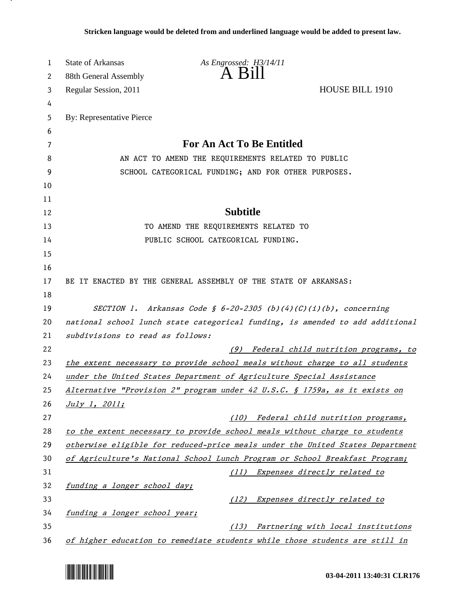| 1  | <b>State of Arkansas</b>                                                      | As Engrossed: H3/14/11                                                            |                                         |  |
|----|-------------------------------------------------------------------------------|-----------------------------------------------------------------------------------|-----------------------------------------|--|
| 2  | 88th General Assembly                                                         | A Bill                                                                            |                                         |  |
| 3  | Regular Session, 2011                                                         |                                                                                   | <b>HOUSE BILL 1910</b>                  |  |
| 4  |                                                                               |                                                                                   |                                         |  |
| 5  | <b>By: Representative Pierce</b>                                              |                                                                                   |                                         |  |
| 6  |                                                                               |                                                                                   |                                         |  |
| 7  |                                                                               | <b>For An Act To Be Entitled</b>                                                  |                                         |  |
| 8  |                                                                               | AN ACT TO AMEND THE REQUIREMENTS RELATED TO PUBLIC                                |                                         |  |
| 9  |                                                                               | SCHOOL CATEGORICAL FUNDING; AND FOR OTHER PURPOSES.                               |                                         |  |
| 10 |                                                                               |                                                                                   |                                         |  |
| 11 |                                                                               |                                                                                   |                                         |  |
| 12 |                                                                               | <b>Subtitle</b>                                                                   |                                         |  |
| 13 |                                                                               | TO AMEND THE REQUIREMENTS RELATED TO                                              |                                         |  |
| 14 |                                                                               | PUBLIC SCHOOL CATEGORICAL FUNDING.                                                |                                         |  |
| 15 |                                                                               |                                                                                   |                                         |  |
| 16 |                                                                               |                                                                                   |                                         |  |
| 17 |                                                                               | BE IT ENACTED BY THE GENERAL ASSEMBLY OF THE STATE OF ARKANSAS:                   |                                         |  |
| 18 |                                                                               |                                                                                   |                                         |  |
| 19 | SECTION 1. Arkansas Code § $6-20-2305$ (b)(4)(C)(i)(b), concerning            |                                                                                   |                                         |  |
| 20 | national school lunch state categorical funding, is amended to add additional |                                                                                   |                                         |  |
| 21 | subdivisions to read as follows:                                              |                                                                                   |                                         |  |
| 22 |                                                                               | (9)                                                                               | Federal child nutrition programs, to    |  |
| 23 | the extent necessary to provide school meals without charge to all students   |                                                                                   |                                         |  |
| 24 |                                                                               | under the United States Department of Agriculture Special Assistance              |                                         |  |
| 25 |                                                                               | <u>Alternative "Provision 2" program under 42 U.S.C. § 1759a, as it exists on</u> |                                         |  |
| 26 | <i>July 1, 2011;</i>                                                          |                                                                                   |                                         |  |
| 27 |                                                                               |                                                                                   | (10) Federal child nutrition programs,  |  |
| 28 |                                                                               | to the extent necessary to provide school meals without charge to students        |                                         |  |
| 29 |                                                                               | otherwise eligible for reduced-price meals under the United States Department     |                                         |  |
| 30 |                                                                               | of Agriculture's National School Lunch Program or School Breakfast Program;       |                                         |  |
| 31 |                                                                               | (11) Expenses directly related to                                                 |                                         |  |
| 32 | funding a longer school day;                                                  |                                                                                   |                                         |  |
| 33 |                                                                               | (12) Expenses directly related to                                                 |                                         |  |
| 34 | funding a longer school year;                                                 |                                                                                   |                                         |  |
| 35 |                                                                               |                                                                                   | (13) Partnering with local institutions |  |
| 36 |                                                                               | of higher education to remediate students while those students are still in       |                                         |  |



.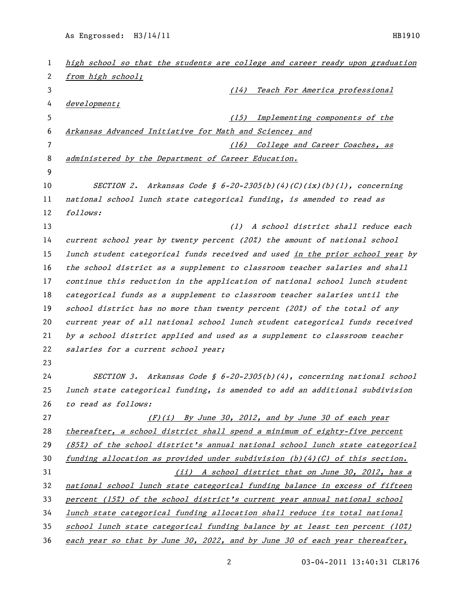| 1  | high school so that the students are college and career ready upon graduation |  |  |
|----|-------------------------------------------------------------------------------|--|--|
| 2  | from high school;                                                             |  |  |
| 3  | Teach For America professional<br>(14)                                        |  |  |
| 4  | development;                                                                  |  |  |
| 5  | (15)<br>Implementing components of the                                        |  |  |
| 6  | Arkansas Advanced Initiative for Math and Science; and                        |  |  |
| 7  | (16) College and Career Coaches, as                                           |  |  |
| 8  | administered by the Department of Career Education.                           |  |  |
| 9  |                                                                               |  |  |
| 10 | SECTION 2. Arkansas Code § $6-20-2305(b)(4)(C)(ix)(b)(1)$ , concerning        |  |  |
| 11 | national school lunch state categorical funding, is amended to read as        |  |  |
| 12 | follows:                                                                      |  |  |
| 13 | A school district shall reduce each<br>(1)                                    |  |  |
| 14 | current school year by twenty percent (20%) the amount of national school     |  |  |
| 15 | lunch student categorical funds received and used in the prior school year by |  |  |
| 16 | the school district as a supplement to classroom teacher salaries and shall   |  |  |
| 17 | continue this reduction in the application of national school lunch student   |  |  |
| 18 | categorical funds as a supplement to classroom teacher salaries until the     |  |  |
| 19 | school district has no more than twenty percent (20%) of the total of any     |  |  |
| 20 | current year of all national school lunch student categorical funds received  |  |  |
| 21 | by a school district applied and used as a supplement to classroom teacher    |  |  |
| 22 | salaries for a current school year;                                           |  |  |
| 23 |                                                                               |  |  |
| 24 | SECTION 3. Arkansas Code § $6-20-2305(b)(4)$ , concerning national school     |  |  |
| 25 | lunch state categorical funding, is amended to add an additional subdivision  |  |  |
| 26 | to read as follows:                                                           |  |  |
| 27 | $(F)(i)$ By June 30, 2012, and by June 30 of each year                        |  |  |
| 28 | thereafter, a school district shall spend a minimum of eighty-five percent    |  |  |
| 29 | (85%) of the school district's annual national school lunch state categorical |  |  |
| 30 | funding allocation as provided under subdivision $(b)(4)(C)$ of this section. |  |  |
| 31 | (ii) A school district that on June 30, 2012, has a                           |  |  |
| 32 | national school lunch state categorical funding balance in excess of fifteen  |  |  |
| 33 | percent (15%) of the school district's current year annual national school    |  |  |
| 34 | lunch state categorical funding allocation shall reduce its total national    |  |  |
| 35 | school lunch state categorical funding balance by at least ten percent (10%)  |  |  |
| 36 | each year so that by June 30, 2022, and by June 30 of each year thereafter,   |  |  |

2 03-04-2011 13:40:31 CLR176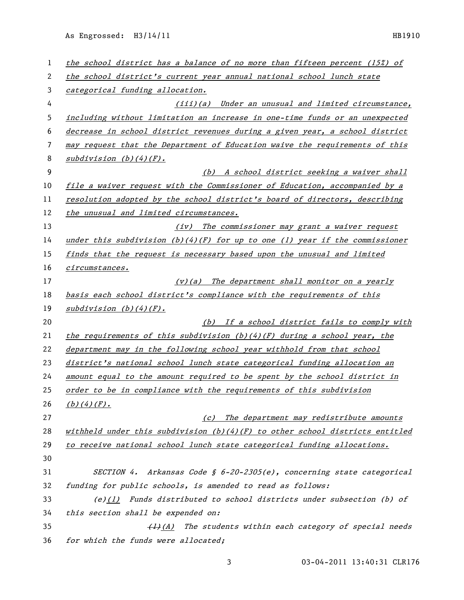As Engrossed: H3/14/11 HB1910

| 1  | the school district has a balance of no more than fifteen percent (15%) of           |  |  |
|----|--------------------------------------------------------------------------------------|--|--|
| 2  | the school district's current year annual national school lunch state                |  |  |
| 3  | categorical funding allocation.                                                      |  |  |
| 4  | (iii)(a) Under an unusual and limited circumstance,                                  |  |  |
| 5  | including without limitation an increase in one-time funds or an unexpected          |  |  |
| 6  | decrease in school district revenues during a given year, a school district          |  |  |
| 7  | may request that the Department of Education waive the requirements of this          |  |  |
| 8  | subdivision (b) (4) (F).                                                             |  |  |
| 9  | (b) A school district seeking a waiver shall                                         |  |  |
| 10 | file a waiver request with the Commissioner of Education, accompanied by a           |  |  |
| 11 | resolution adopted by the school district's board of directors, describing           |  |  |
| 12 | the unusual and limited circumstances.                                               |  |  |
| 13 | (iv) The commissioner may grant a waiver request                                     |  |  |
| 14 | under this subdivision $(b)(4)(F)$ for up to one (1) year if the commissioner        |  |  |
| 15 | finds that the request is necessary based upon the unusual and limited               |  |  |
| 16 | circumstances.                                                                       |  |  |
| 17 | $(v)(a)$ The department shall monitor on a yearly                                    |  |  |
| 18 | basis each school district's compliance with the requirements of this                |  |  |
| 19 | subdivision $(b)$ $(4)$ $(F)$ .                                                      |  |  |
| 20 | (b) If a school district fails to comply with                                        |  |  |
| 21 | the requirements of this subdivision $(b)$ (4)(F) during a school year, the          |  |  |
| 22 | department may in the following school year withhold from that school                |  |  |
| 23 | district's national school lunch state categorical funding allocation an             |  |  |
| 24 | amount equal to the amount required to be spent by the school district in            |  |  |
| 25 | order to be in compliance with the requirements of this subdivision                  |  |  |
| 26 | $(b)$ (4) (F).                                                                       |  |  |
| 27 | (c) The department may redistribute amounts                                          |  |  |
| 28 | withheld under this subdivision $(b)$ $(4)$ $(F)$ to other school districts entitled |  |  |
| 29 | to receive national school lunch state categorical funding allocations.              |  |  |
| 30 |                                                                                      |  |  |
| 31 | SECTION 4. Arkansas Code § $6-20-2305(e)$ , concerning state categorical             |  |  |
| 32 | funding for public schools, is amended to read as follows:                           |  |  |
| 33 | $(e)(1)$ Funds distributed to school districts under subsection (b) of               |  |  |
| 34 | this section shall be expended on:                                                   |  |  |
| 35 | (1)(A) The students within each category of special needs                            |  |  |
| 36 | for which the funds were allocated;                                                  |  |  |